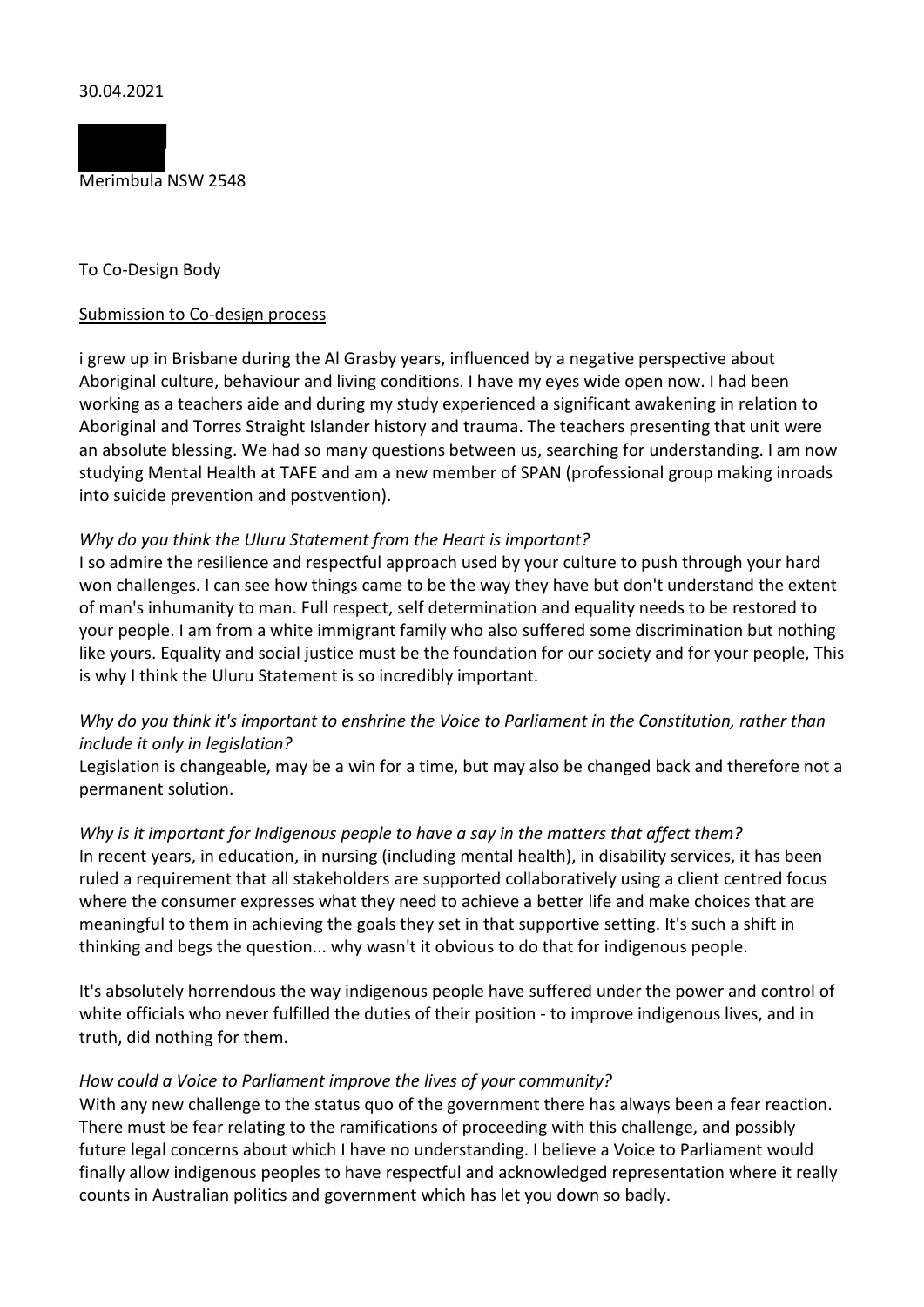

## To Co-Design Body

## Submission to Co-design process

i grew up in Brisbane during the Al Grasby years, influenced by a negative perspective about Aboriginal culture, behaviour and living conditions. I have my eyes wide open now. I had been working as a teachers aide and during my study experienced a significant awakening in relation to Aboriginal and Torres Straight Islander history and trauma. The teachers presenting that unit were an absolute blessing. We had so many questions between us, searching for understanding. I am now studying Mental Health at TAFE and am a new member of SPAN (professional group making inroads into suicide prevention and postvention).

## *Why do you think the Uluru Statement from the Heart is important?*

I so admire the resilience and respectful approach used by your culture to push through your hard won challenges. I can see how things came to be the way they have but don't understand the extent of man's inhumanity to man. Full respect, self determination and equality needs to be restored to your people. I am from a white immigrant family who also suffered some discrimination but nothing like yours. Equality and social justice must be the foundation for our society and for your people, This is why I think the Uluru Statement is so incredibly important.

# *Why do you think it's important to enshrine the Voice to Parliament in the Constitution, rather than include it only in legislation?*

Legislation is changeable, may be a win for a time, but may also be changed back and therefore not a permanent solution.

## *Why is it important for Indigenous people to have a say in the matters that affect them?* In recent years, in education, in nursing (including mental health), in disability services, it has been ruled a requirement that all stakeholders are supported collaboratively using a client centred focus where the consumer expresses what they need to achieve a better life and make choices that are meaningful to them in achieving the goals they set in that supportive setting. It's such a shift in

thinking and begs the question... why wasn't it obvious to do that for indigenous people.

It's absolutely horrendous the way indigenous people have suffered under the power and control of white officials who never fulfilled the duties of their position - to improve indigenous lives, and in truth, did nothing for them.

## *How could a Voice to Parliament improve the lives of your community?*

With any new challenge to the status quo of the government there has always been a fear reaction. There must be fear relating to the ramifications of proceeding with this challenge, and possibly future legal concerns about which I have no understanding. I believe a Voice to Parliament would finally allow indigenous peoples to have respectful and acknowledged representation where it really counts in Australian politics and government which has let you down so badly.